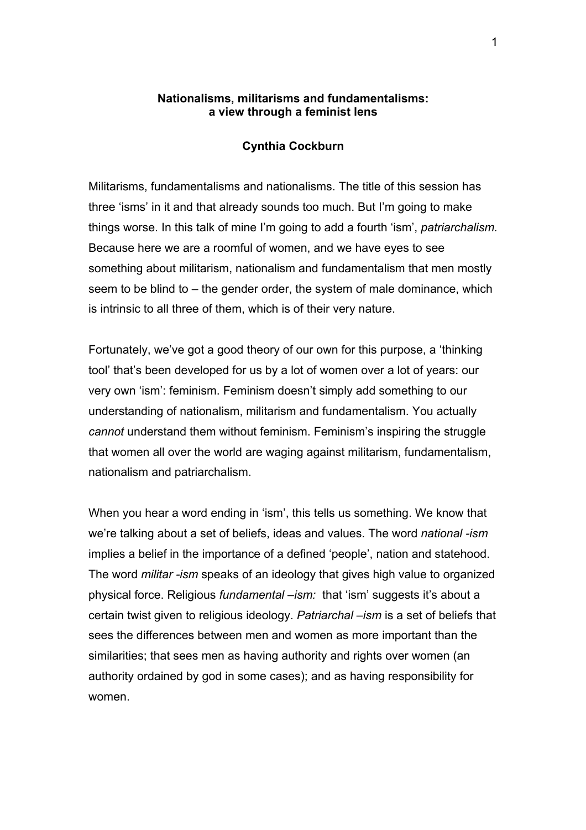## **Nationalisms, militarisms and fundamentalisms: a view through a feminist lens**

## **Cynthia Cockburn**

Militarisms, fundamentalisms and nationalisms. The title of this session has three 'isms' in it and that already sounds too much. But I'm going to make things worse. In this talk of mine I'm going to add a fourth 'ism', *patriarchalism.* Because here we are a roomful of women, and we have eyes to see something about militarism, nationalism and fundamentalism that men mostly seem to be blind to – the gender order, the system of male dominance, which is intrinsic to all three of them, which is of their very nature.

Fortunately, we've got a good theory of our own for this purpose, a 'thinking tool' that's been developed for us by a lot of women over a lot of years: our very own 'ism': feminism. Feminism doesn't simply add something to our understanding of nationalism, militarism and fundamentalism. You actually *cannot* understand them without feminism. Feminism's inspiring the struggle that women all over the world are waging against militarism, fundamentalism, nationalism and patriarchalism.

When you hear a word ending in 'ism', this tells us something. We know that we're talking about a set of beliefs, ideas and values. The word *national -ism* implies a belief in the importance of a defined 'people', nation and statehood. The word *militar -ism* speaks of an ideology that gives high value to organized physical force. Religious *fundamental –ism:* that 'ism' suggests it's about a certain twist given to religious ideology. *Patriarchal –ism* is a set of beliefs that sees the differences between men and women as more important than the similarities; that sees men as having authority and rights over women (an authority ordained by god in some cases); and as having responsibility for women.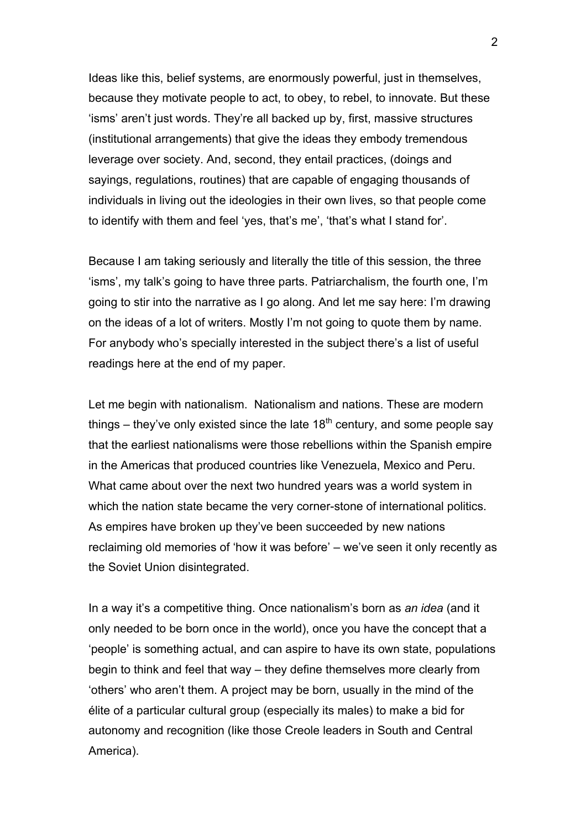Ideas like this, belief systems, are enormously powerful, just in themselves, because they motivate people to act, to obey, to rebel, to innovate. But these 'isms' aren't just words. They're all backed up by, first, massive structures (institutional arrangements) that give the ideas they embody tremendous leverage over society. And, second, they entail practices, (doings and sayings, regulations, routines) that are capable of engaging thousands of individuals in living out the ideologies in their own lives, so that people come to identify with them and feel 'yes, that's me', 'that's what I stand for'.

Because I am taking seriously and literally the title of this session, the three 'isms', my talk's going to have three parts. Patriarchalism, the fourth one, I'm going to stir into the narrative as I go along. And let me say here: I'm drawing on the ideas of a lot of writers. Mostly I'm not going to quote them by name. For anybody who's specially interested in the subject there's a list of useful readings here at the end of my paper.

Let me begin with nationalism. Nationalism and nations. These are modern things – they've only existed since the late  $18<sup>th</sup>$  century, and some people say that the earliest nationalisms were those rebellions within the Spanish empire in the Americas that produced countries like Venezuela, Mexico and Peru. What came about over the next two hundred years was a world system in which the nation state became the very corner-stone of international politics. As empires have broken up they've been succeeded by new nations reclaiming old memories of 'how it was before' – we've seen it only recently as the Soviet Union disintegrated.

In a way it's a competitive thing. Once nationalism's born as *an idea* (and it only needed to be born once in the world), once you have the concept that a 'people' is something actual, and can aspire to have its own state, populations begin to think and feel that way – they define themselves more clearly from 'others' who aren't them. A project may be born, usually in the mind of the élite of a particular cultural group (especially its males) to make a bid for autonomy and recognition (like those Creole leaders in South and Central America).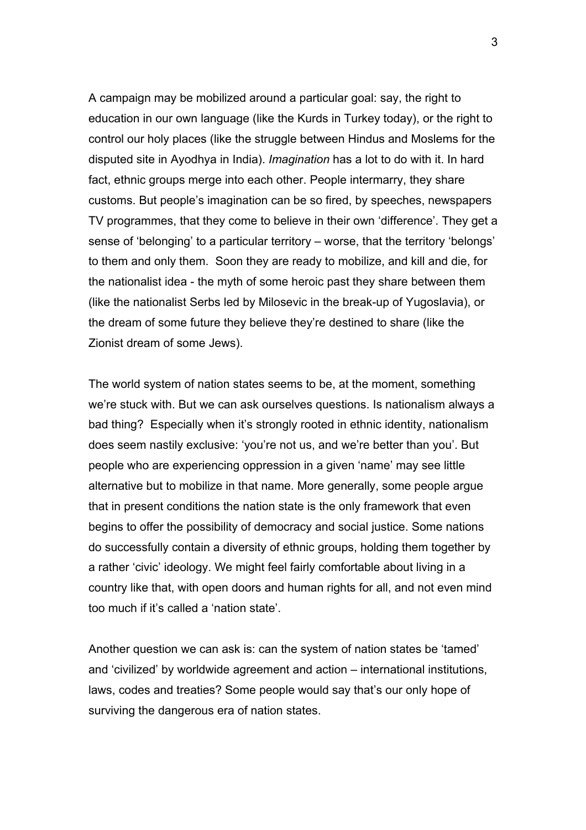A campaign may be mobilized around a particular goal: say, the right to education in our own language (like the Kurds in Turkey today), or the right to control our holy places (like the struggle between Hindus and Moslems for the disputed site in Ayodhya in India). *Imagination* has a lot to do with it. In hard fact, ethnic groups merge into each other. People intermarry, they share customs. But people's imagination can be so fired, by speeches, newspapers TV programmes, that they come to believe in their own 'difference'. They get a sense of 'belonging' to a particular territory – worse, that the territory 'belongs' to them and only them. Soon they are ready to mobilize, and kill and die, for the nationalist idea - the myth of some heroic past they share between them (like the nationalist Serbs led by Milosevic in the break-up of Yugoslavia), or the dream of some future they believe they're destined to share (like the Zionist dream of some Jews).

The world system of nation states seems to be, at the moment, something we're stuck with. But we can ask ourselves questions. Is nationalism always a bad thing? Especially when it's strongly rooted in ethnic identity, nationalism does seem nastily exclusive: 'you're not us, and we're better than you'. But people who are experiencing oppression in a given 'name' may see little alternative but to mobilize in that name. More generally, some people argue that in present conditions the nation state is the only framework that even begins to offer the possibility of democracy and social justice. Some nations do successfully contain a diversity of ethnic groups, holding them together by a rather 'civic' ideology. We might feel fairly comfortable about living in a country like that, with open doors and human rights for all, and not even mind too much if it's called a 'nation state'.

Another question we can ask is: can the system of nation states be 'tamed' and 'civilized' by worldwide agreement and action – international institutions, laws, codes and treaties? Some people would say that's our only hope of surviving the dangerous era of nation states.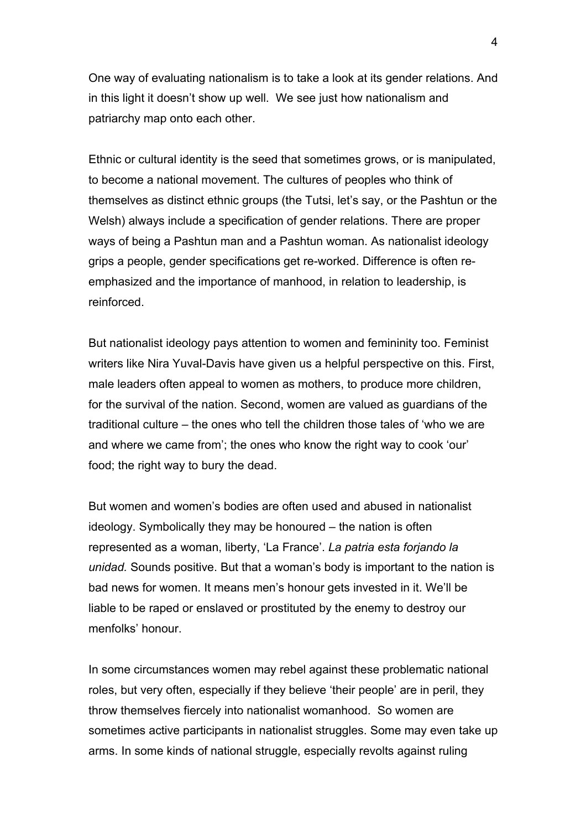One way of evaluating nationalism is to take a look at its gender relations. And in this light it doesn't show up well. We see just how nationalism and patriarchy map onto each other.

Ethnic or cultural identity is the seed that sometimes grows, or is manipulated, to become a national movement. The cultures of peoples who think of themselves as distinct ethnic groups (the Tutsi, let's say, or the Pashtun or the Welsh) always include a specification of gender relations. There are proper ways of being a Pashtun man and a Pashtun woman. As nationalist ideology grips a people, gender specifications get re-worked. Difference is often reemphasized and the importance of manhood, in relation to leadership, is reinforced.

But nationalist ideology pays attention to women and femininity too. Feminist writers like Nira Yuval-Davis have given us a helpful perspective on this. First, male leaders often appeal to women as mothers, to produce more children, for the survival of the nation. Second, women are valued as guardians of the traditional culture – the ones who tell the children those tales of 'who we are and where we came from'; the ones who know the right way to cook 'our' food; the right way to bury the dead.

But women and women's bodies are often used and abused in nationalist ideology. Symbolically they may be honoured – the nation is often represented as a woman, liberty, 'La France'. *La patria esta forjando la unidad.* Sounds positive. But that a woman's body is important to the nation is bad news for women. It means men's honour gets invested in it. We'll be liable to be raped or enslaved or prostituted by the enemy to destroy our menfolks' honour.

In some circumstances women may rebel against these problematic national roles, but very often, especially if they believe 'their people' are in peril, they throw themselves fiercely into nationalist womanhood. So women are sometimes active participants in nationalist struggles. Some may even take up arms. In some kinds of national struggle, especially revolts against ruling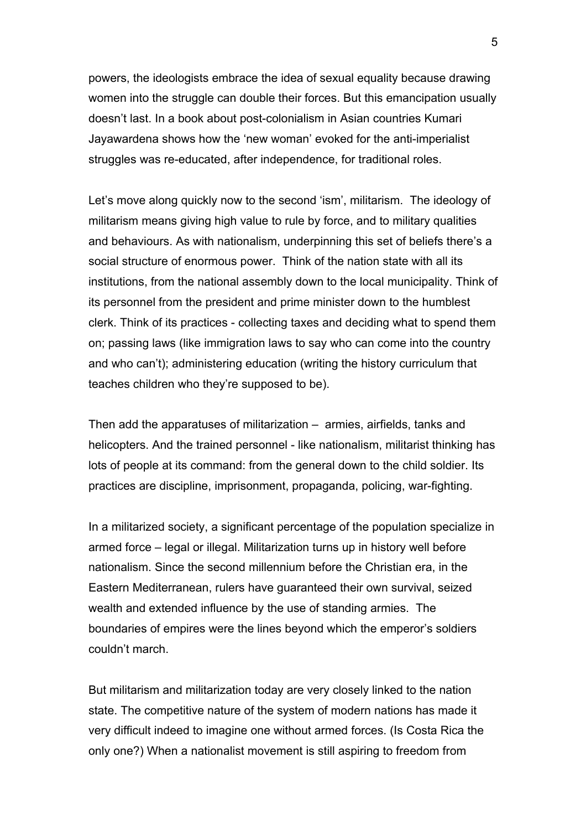powers, the ideologists embrace the idea of sexual equality because drawing women into the struggle can double their forces. But this emancipation usually doesn't last. In a book about post-colonialism in Asian countries Kumari Jayawardena shows how the 'new woman' evoked for the anti-imperialist struggles was re-educated, after independence, for traditional roles.

Let's move along quickly now to the second 'ism', militarism. The ideology of militarism means giving high value to rule by force, and to military qualities and behaviours. As with nationalism, underpinning this set of beliefs there's a social structure of enormous power. Think of the nation state with all its institutions, from the national assembly down to the local municipality. Think of its personnel from the president and prime minister down to the humblest clerk. Think of its practices - collecting taxes and deciding what to spend them on; passing laws (like immigration laws to say who can come into the country and who can't); administering education (writing the history curriculum that teaches children who they're supposed to be).

Then add the apparatuses of militarization – armies, airfields, tanks and helicopters. And the trained personnel - like nationalism, militarist thinking has lots of people at its command: from the general down to the child soldier. Its practices are discipline, imprisonment, propaganda, policing, war-fighting.

In a militarized society, a significant percentage of the population specialize in armed force – legal or illegal. Militarization turns up in history well before nationalism. Since the second millennium before the Christian era, in the Eastern Mediterranean, rulers have guaranteed their own survival, seized wealth and extended influence by the use of standing armies. The boundaries of empires were the lines beyond which the emperor's soldiers couldn't march.

But militarism and militarization today are very closely linked to the nation state. The competitive nature of the system of modern nations has made it very difficult indeed to imagine one without armed forces. (Is Costa Rica the only one?) When a nationalist movement is still aspiring to freedom from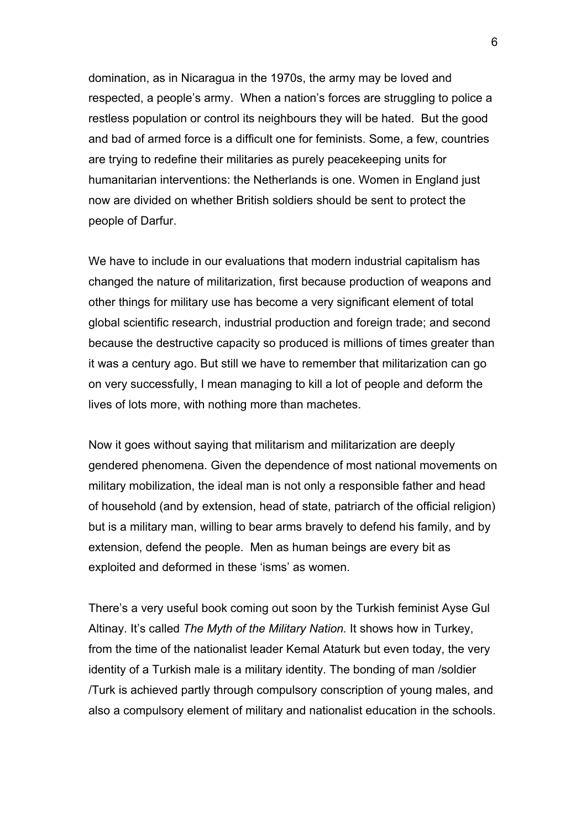domination, as in Nicaragua in the 1970s, the army may be loved and respected, a people's army. When a nation's forces are struggling to police a restless population or control its neighbours they will be hated. But the good and bad of armed force is a difficult one for feminists. Some, a few, countries are trying to redefine their militaries as purely peacekeeping units for humanitarian interventions: the Netherlands is one. Women in England just now are divided on whether British soldiers should be sent to protect the people of Darfur.

We have to include in our evaluations that modern industrial capitalism has changed the nature of militarization, first because production of weapons and other things for military use has become a very significant element of total global scientific research, industrial production and foreign trade; and second because the destructive capacity so produced is millions of times greater than it was a century ago. But still we have to remember that militarization can go on very successfully, I mean managing to kill a lot of people and deform the lives of lots more, with nothing more than machetes.

Now it goes without saying that militarism and militarization are deeply gendered phenomena. Given the dependence of most national movements on military mobilization, the ideal man is not only a responsible father and head of household (and by extension, head of state, patriarch of the official religion) but is a military man, willing to bear arms bravely to defend his family, and by extension, defend the people. Men as human beings are every bit as exploited and deformed in these 'isms' as women.

There's a very useful book coming out soon by the Turkish feminist Ayse Gul Altinay. It's called *The Myth of the Military Nation.* It shows how in Turkey, from the time of the nationalist leader Kemal Ataturk but even today, the very identity of a Turkish male is a military identity. The bonding of man /soldier /Turk is achieved partly through compulsory conscription of young males, and also a compulsory element of military and nationalist education in the schools.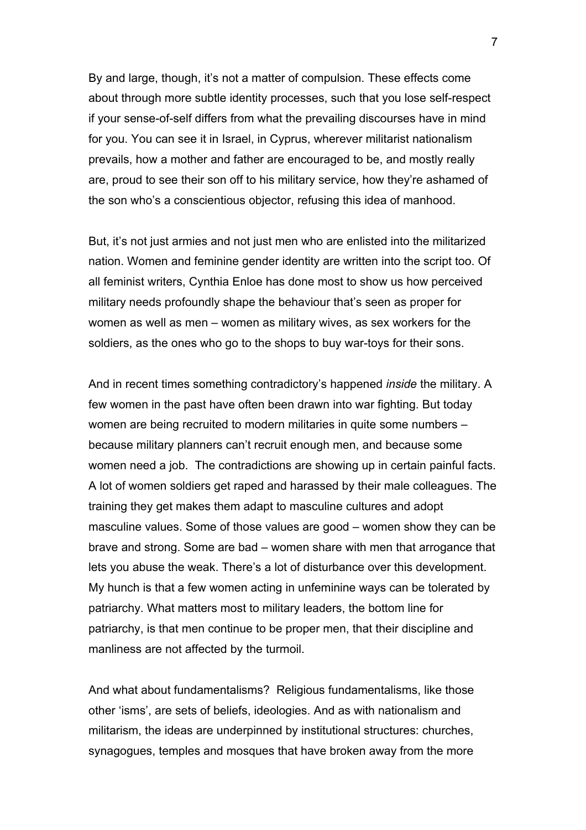By and large, though, it's not a matter of compulsion. These effects come about through more subtle identity processes, such that you lose self-respect if your sense-of-self differs from what the prevailing discourses have in mind for you. You can see it in Israel, in Cyprus, wherever militarist nationalism prevails, how a mother and father are encouraged to be, and mostly really are, proud to see their son off to his military service, how they're ashamed of the son who's a conscientious objector, refusing this idea of manhood.

But, it's not just armies and not just men who are enlisted into the militarized nation. Women and feminine gender identity are written into the script too. Of all feminist writers, Cynthia Enloe has done most to show us how perceived military needs profoundly shape the behaviour that's seen as proper for women as well as men – women as military wives, as sex workers for the soldiers, as the ones who go to the shops to buy war-toys for their sons.

And in recent times something contradictory's happened *inside* the military. A few women in the past have often been drawn into war fighting. But today women are being recruited to modern militaries in quite some numbers – because military planners can't recruit enough men, and because some women need a job. The contradictions are showing up in certain painful facts. A lot of women soldiers get raped and harassed by their male colleagues. The training they get makes them adapt to masculine cultures and adopt masculine values. Some of those values are good – women show they can be brave and strong. Some are bad – women share with men that arrogance that lets you abuse the weak. There's a lot of disturbance over this development. My hunch is that a few women acting in unfeminine ways can be tolerated by patriarchy. What matters most to military leaders, the bottom line for patriarchy, is that men continue to be proper men, that their discipline and manliness are not affected by the turmoil.

And what about fundamentalisms? Religious fundamentalisms, like those other 'isms', are sets of beliefs, ideologies. And as with nationalism and militarism, the ideas are underpinned by institutional structures: churches, synagogues, temples and mosques that have broken away from the more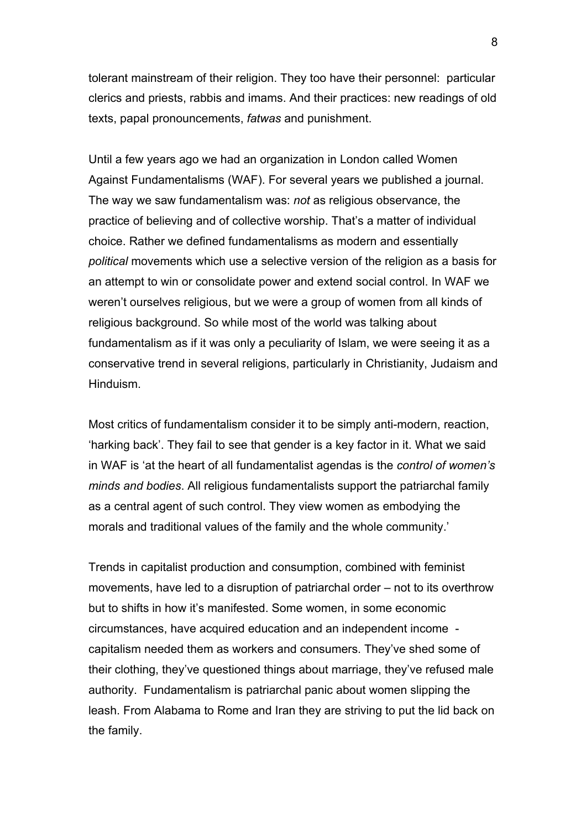tolerant mainstream of their religion. They too have their personnel: particular clerics and priests, rabbis and imams. And their practices: new readings of old texts, papal pronouncements, *fatwas* and punishment.

Until a few years ago we had an organization in London called Women Against Fundamentalisms (WAF). For several years we published a journal. The way we saw fundamentalism was: *not* as religious observance, the practice of believing and of collective worship. That's a matter of individual choice. Rather we defined fundamentalisms as modern and essentially *political* movements which use a selective version of the religion as a basis for an attempt to win or consolidate power and extend social control. In WAF we weren't ourselves religious, but we were a group of women from all kinds of religious background. So while most of the world was talking about fundamentalism as if it was only a peculiarity of Islam, we were seeing it as a conservative trend in several religions, particularly in Christianity, Judaism and Hinduism.

Most critics of fundamentalism consider it to be simply anti-modern, reaction, 'harking back'. They fail to see that gender is a key factor in it. What we said in WAF is 'at the heart of all fundamentalist agendas is the *control of women's minds and bodies*. All religious fundamentalists support the patriarchal family as a central agent of such control. They view women as embodying the morals and traditional values of the family and the whole community.'

Trends in capitalist production and consumption, combined with feminist movements, have led to a disruption of patriarchal order – not to its overthrow but to shifts in how it's manifested. Some women, in some economic circumstances, have acquired education and an independent income capitalism needed them as workers and consumers. They've shed some of their clothing, they've questioned things about marriage, they've refused male authority. Fundamentalism is patriarchal panic about women slipping the leash. From Alabama to Rome and Iran they are striving to put the lid back on the family.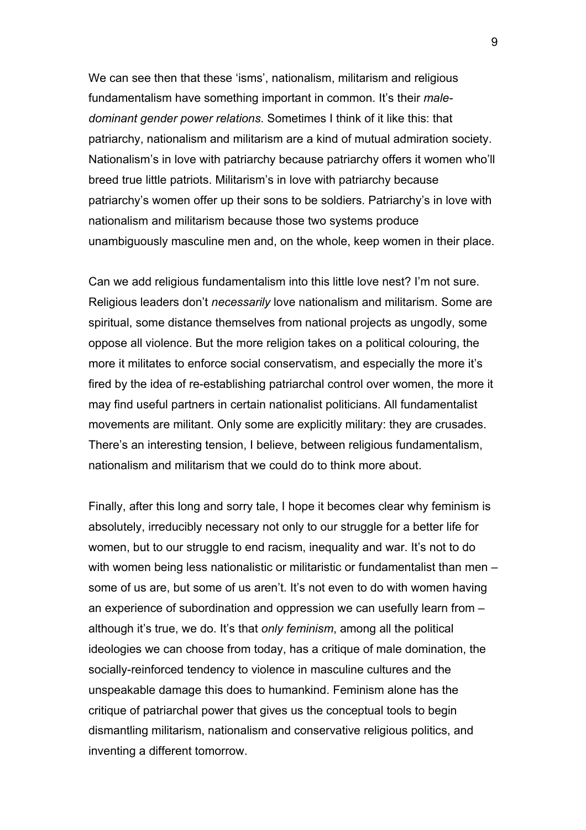We can see then that these 'isms', nationalism, militarism and religious fundamentalism have something important in common. It's their *maledominant gender power relations*. Sometimes I think of it like this: that patriarchy, nationalism and militarism are a kind of mutual admiration society. Nationalism's in love with patriarchy because patriarchy offers it women who'll breed true little patriots. Militarism's in love with patriarchy because patriarchy's women offer up their sons to be soldiers. Patriarchy's in love with nationalism and militarism because those two systems produce unambiguously masculine men and, on the whole, keep women in their place.

Can we add religious fundamentalism into this little love nest? I'm not sure. Religious leaders don't *necessarily* love nationalism and militarism. Some are spiritual, some distance themselves from national projects as ungodly, some oppose all violence. But the more religion takes on a political colouring, the more it militates to enforce social conservatism, and especially the more it's fired by the idea of re-establishing patriarchal control over women, the more it may find useful partners in certain nationalist politicians. All fundamentalist movements are militant. Only some are explicitly military: they are crusades. There's an interesting tension, I believe, between religious fundamentalism, nationalism and militarism that we could do to think more about.

Finally, after this long and sorry tale, I hope it becomes clear why feminism is absolutely, irreducibly necessary not only to our struggle for a better life for women, but to our struggle to end racism, inequality and war. It's not to do with women being less nationalistic or militaristic or fundamentalist than men – some of us are, but some of us aren't. It's not even to do with women having an experience of subordination and oppression we can usefully learn from – although it's true, we do. It's that *only feminism*, among all the political ideologies we can choose from today, has a critique of male domination, the socially-reinforced tendency to violence in masculine cultures and the unspeakable damage this does to humankind. Feminism alone has the critique of patriarchal power that gives us the conceptual tools to begin dismantling militarism, nationalism and conservative religious politics, and inventing a different tomorrow.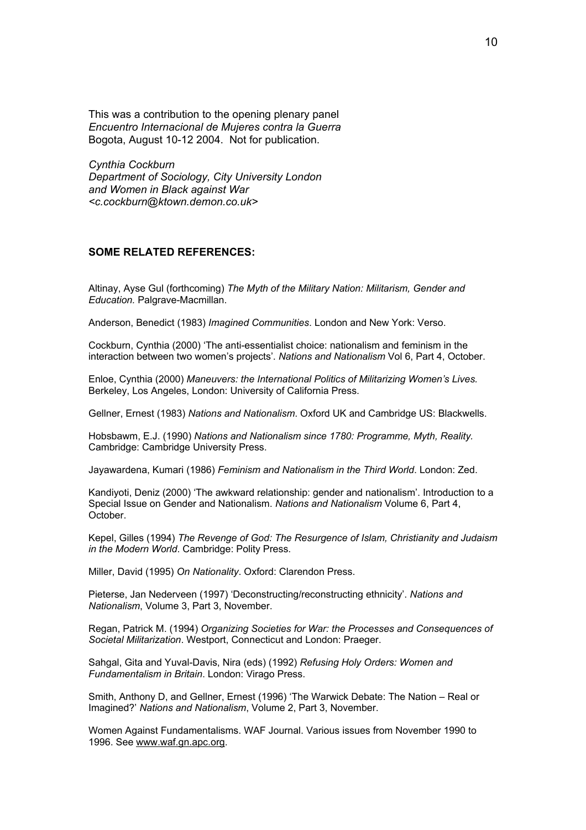This was a contribution to the opening plenary panel *Encuentro Internacional de Mujeres contra la Guerra*  Bogota, August 10-12 2004. Not for publication.

*Cynthia Cockburn Department of Sociology, City University London and Women in Black against War <c.cockburn@ktown.demon.co.uk>* 

## **SOME RELATED REFERENCES:**

Altinay, Ayse Gul (forthcoming) *The Myth of the Military Nation: Militarism, Gender and Education.* Palgrave-Macmillan.

Anderson, Benedict (1983) *Imagined Communities*. London and New York: Verso.

Cockburn, Cynthia (2000) 'The anti-essentialist choice: nationalism and feminism in the interaction between two women's projects'. *Nations and Nationalism* Vol 6, Part 4, October.

Enloe, Cynthia (2000) *Maneuvers: the International Politics of Militarizing Women's Lives.*  Berkeley, Los Angeles, London: University of California Press.

Gellner, Ernest (1983) *Nations and Nationalism*. Oxford UK and Cambridge US: Blackwells.

Hobsbawm, E.J. (1990) *Nations and Nationalism since 1780: Programme, Myth, Reality.* Cambridge: Cambridge University Press.

Jayawardena, Kumari (1986) *Feminism and Nationalism in the Third World*. London: Zed.

Kandiyoti, Deniz (2000) 'The awkward relationship: gender and nationalism'. Introduction to a Special Issue on Gender and Nationalism. *Nations and Nationalism* Volume 6, Part 4, October.

Kepel, Gilles (1994) *The Revenge of God: The Resurgence of Islam, Christianity and Judaism in the Modern World*. Cambridge: Polity Press.

Miller, David (1995) *On Nationality*. Oxford: Clarendon Press.

Pieterse, Jan Nederveen (1997) 'Deconstructing/reconstructing ethnicity'. *Nations and Nationalism*, Volume 3, Part 3, November.

Regan, Patrick M. (1994) *Organizing Societies for War: the Processes and Consequences of Societal Militarization*. Westport, Connecticut and London: Praeger.

Sahgal, Gita and Yuval-Davis, Nira (eds) (1992) *Refusing Holy Orders: Women and Fundamentalism in Britain*. London: Virago Press.

Smith, Anthony D, and Gellner, Ernest (1996) 'The Warwick Debate: The Nation – Real or Imagined?' *Nations and Nationalism*, Volume 2, Part 3, November.

Women Against Fundamentalisms. WAF Journal. Various issues from November 1990 to 1996. See www.waf.gn.apc.org.